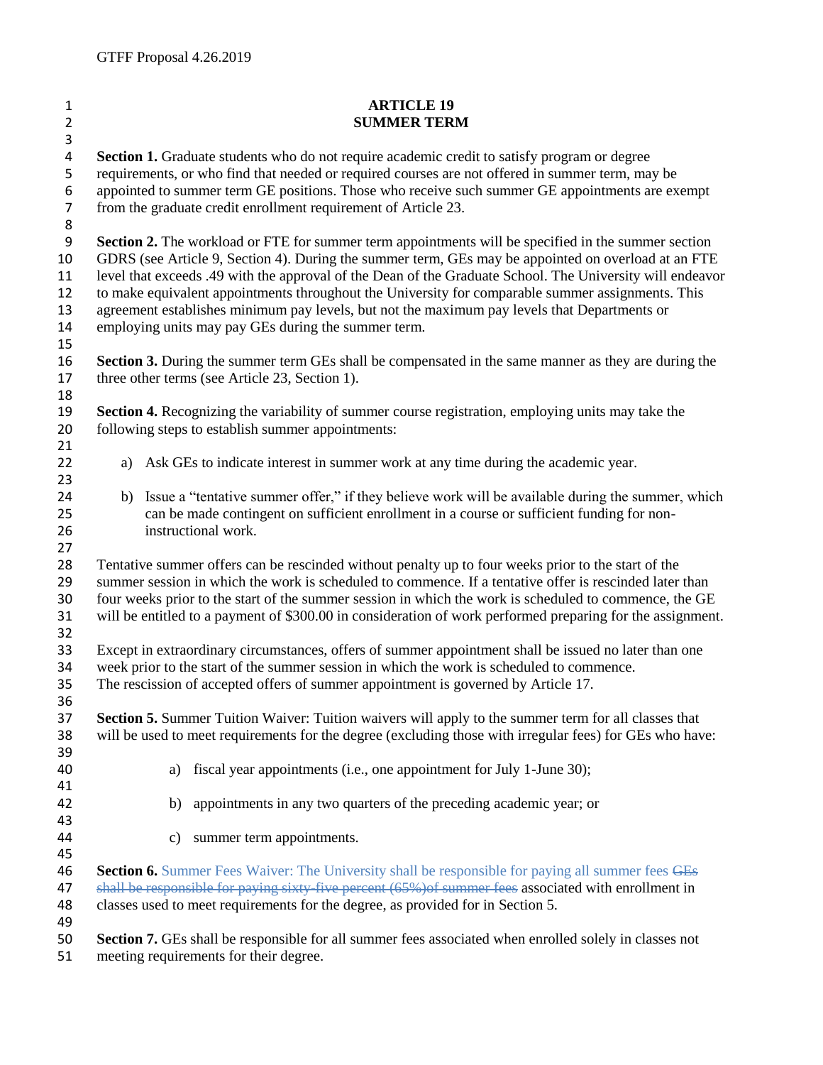| $\mathbf{1}$          | <b>ARTICLE 19</b>                                                                                                                                                                                   |
|-----------------------|-----------------------------------------------------------------------------------------------------------------------------------------------------------------------------------------------------|
| $\overline{2}$        | <b>SUMMER TERM</b>                                                                                                                                                                                  |
| 3                     |                                                                                                                                                                                                     |
| 4                     | <b>Section 1.</b> Graduate students who do not require academic credit to satisfy program or degree                                                                                                 |
| 5                     | requirements, or who find that needed or required courses are not offered in summer term, may be<br>appointed to summer term GE positions. Those who receive such summer GE appointments are exempt |
| 6<br>$\overline{7}$   |                                                                                                                                                                                                     |
|                       | from the graduate credit enrollment requirement of Article 23.                                                                                                                                      |
| 8<br>$\boldsymbol{9}$ | Section 2. The workload or FTE for summer term appointments will be specified in the summer section                                                                                                 |
| 10                    | GDRS (see Article 9, Section 4). During the summer term, GEs may be appointed on overload at an FTE                                                                                                 |
| 11                    | level that exceeds .49 with the approval of the Dean of the Graduate School. The University will endeavor                                                                                           |
| 12                    | to make equivalent appointments throughout the University for comparable summer assignments. This                                                                                                   |
| 13                    | agreement establishes minimum pay levels, but not the maximum pay levels that Departments or                                                                                                        |
| 14                    | employing units may pay GEs during the summer term.                                                                                                                                                 |
| 15                    |                                                                                                                                                                                                     |
| 16                    | <b>Section 3.</b> During the summer term GEs shall be compensated in the same manner as they are during the                                                                                         |
| 17                    | three other terms (see Article 23, Section 1).                                                                                                                                                      |
| 18                    |                                                                                                                                                                                                     |
| 19                    | <b>Section 4.</b> Recognizing the variability of summer course registration, employing units may take the                                                                                           |
| 20                    | following steps to establish summer appointments:                                                                                                                                                   |
| 21                    |                                                                                                                                                                                                     |
| 22                    | a) Ask GEs to indicate interest in summer work at any time during the academic year.                                                                                                                |
| 23                    |                                                                                                                                                                                                     |
| 24                    | b) Issue a "tentative summer offer," if they believe work will be available during the summer, which                                                                                                |
| 25                    | can be made contingent on sufficient enrollment in a course or sufficient funding for non-                                                                                                          |
| 26                    | instructional work.                                                                                                                                                                                 |
| 27                    |                                                                                                                                                                                                     |
| 28                    | Tentative summer offers can be rescinded without penalty up to four weeks prior to the start of the                                                                                                 |
| 29                    | summer session in which the work is scheduled to commence. If a tentative offer is rescinded later than                                                                                             |
| 30                    | four weeks prior to the start of the summer session in which the work is scheduled to commence, the GE                                                                                              |
| 31                    | will be entitled to a payment of \$300.00 in consideration of work performed preparing for the assignment.                                                                                          |
| 32<br>33              |                                                                                                                                                                                                     |
| 34                    | Except in extraordinary circumstances, offers of summer appointment shall be issued no later than one<br>week prior to the start of the summer session in which the work is scheduled to commence.  |
| 35                    | The rescission of accepted offers of summer appointment is governed by Article 17.                                                                                                                  |
| 36                    |                                                                                                                                                                                                     |
| 37                    | <b>Section 5.</b> Summer Tuition Waiver: Tuition waivers will apply to the summer term for all classes that                                                                                         |
| 38                    | will be used to meet requirements for the degree (excluding those with irregular fees) for GEs who have:                                                                                            |
| 39                    |                                                                                                                                                                                                     |
| 40                    | fiscal year appointments (i.e., one appointment for July 1-June 30);<br>a)                                                                                                                          |
| 41                    |                                                                                                                                                                                                     |
| 42                    | appointments in any two quarters of the preceding academic year; or<br>b)                                                                                                                           |
| 43                    |                                                                                                                                                                                                     |
| 44                    | summer term appointments.<br>c)                                                                                                                                                                     |
| 45                    |                                                                                                                                                                                                     |
| 46                    | Section 6. Summer Fees Waiver: The University shall be responsible for paying all summer fees GEs                                                                                                   |
| 47                    | shall be responsible for paying sixty five percent (65%) of summer fees associated with enrollment in                                                                                               |
| 48                    | classes used to meet requirements for the degree, as provided for in Section 5.                                                                                                                     |
| 49                    |                                                                                                                                                                                                     |
| 50                    | <b>Section 7.</b> GEs shall be responsible for all summer fees associated when enrolled solely in classes not                                                                                       |
| 51                    | meeting requirements for their degree.                                                                                                                                                              |